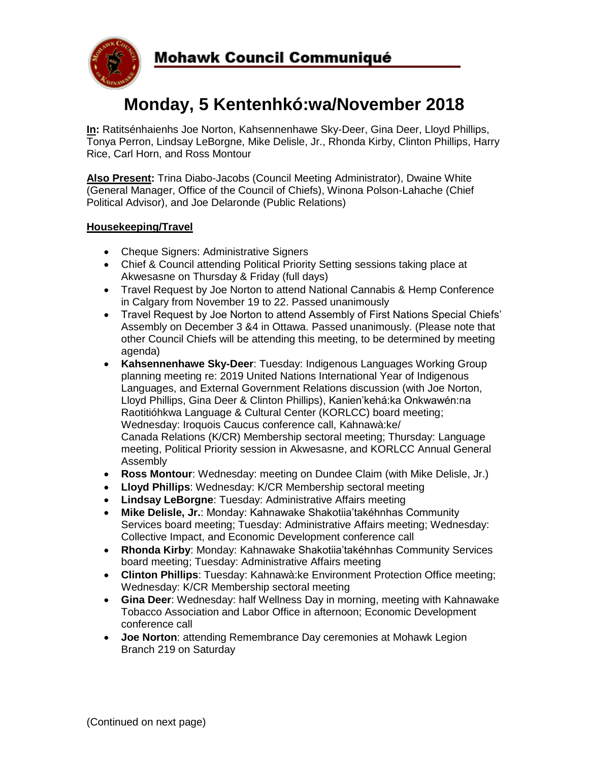

# **Monday, 5 Kentenhkó:wa/November 2018**

**In:** Ratitsénhaienhs Joe Norton, Kahsennenhawe Sky-Deer, Gina Deer, Lloyd Phillips, Tonya Perron, Lindsay LeBorgne, Mike Delisle, Jr., Rhonda Kirby, Clinton Phillips, Harry Rice, Carl Horn, and Ross Montour

**Also Present:** Trina Diabo-Jacobs (Council Meeting Administrator), Dwaine White (General Manager, Office of the Council of Chiefs), Winona Polson-Lahache (Chief Political Advisor), and Joe Delaronde (Public Relations)

# **Housekeeping/Travel**

- Cheque Signers: Administrative Signers
- Chief & Council attending Political Priority Setting sessions taking place at Akwesasne on Thursday & Friday (full days)
- Travel Request by Joe Norton to attend National Cannabis & Hemp Conference in Calgary from November 19 to 22. Passed unanimously
- Travel Request by Joe Norton to attend Assembly of First Nations Special Chiefs' Assembly on December 3 &4 in Ottawa. Passed unanimously. (Please note that other Council Chiefs will be attending this meeting, to be determined by meeting agenda)
- **Kahsennenhawe Sky-Deer**: Tuesday: Indigenous Languages Working Group planning meeting re: 2019 United Nations International Year of Indigenous Languages, and External Government Relations discussion (with Joe Norton, Lloyd Phillips, Gina Deer & Clinton Phillips), Kanien'kehá:ka Onkwawén:na Raotitióhkwa Language & Cultural Center (KORLCC) board meeting; Wednesday: Iroquois Caucus conference call, Kahnawà:ke/ Canada Relations (K/CR) Membership sectoral meeting; Thursday: Language meeting, Political Priority session in Akwesasne, and KORLCC Annual General Assembly
- **Ross Montour**: Wednesday: meeting on Dundee Claim (with Mike Delisle, Jr.)
- **Lloyd Phillips**: Wednesday: K/CR Membership sectoral meeting
- **Lindsay LeBorgne**: Tuesday: Administrative Affairs meeting
- **Mike Delisle, Jr.**: Monday: Kahnawake Shakotiia'takéhnhas Community Services board meeting; Tuesday: Administrative Affairs meeting; Wednesday: Collective Impact, and Economic Development conference call
- **Rhonda Kirby**: Monday: Kahnawake Shakotiia'takéhnhas Community Services board meeting; Tuesday: Administrative Affairs meeting
- **Clinton Phillips**: Tuesday: Kahnawà:ke Environment Protection Office meeting; Wednesday: K/CR Membership sectoral meeting
- **Gina Deer**: Wednesday: half Wellness Day in morning, meeting with Kahnawake Tobacco Association and Labor Office in afternoon; Economic Development conference call
- **Joe Norton**: attending Remembrance Day ceremonies at Mohawk Legion Branch 219 on Saturday